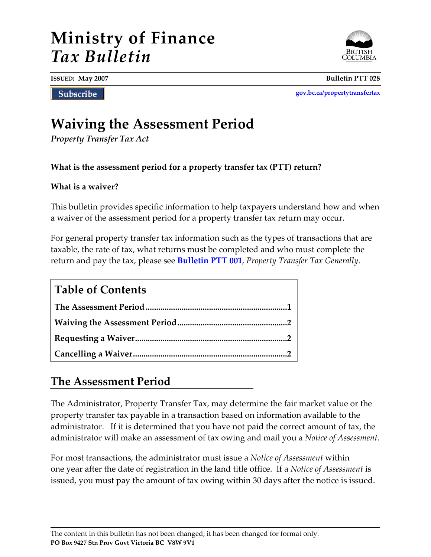# **Ministry of Finance** *Tax Bulletin*



**ISSUED: May 2007 Bulletin PTT 028**

Subscribe

**[gov.bc.ca/propertytransfertax](http://www.gov.bc.ca/propertytransfertax)**

## **Waiving the Assessment Period**

*Property Transfer Tax Act*

**What is the assessment period for a property transfer tax (PTT) return?**

#### **What is a waiver?**

This bulletin provides specific information to help taxpayers understand how and when a waiver of the assessment period for a property transfer tax return may occur.

For general property transfer tax information such as the types of transactions that are taxable, the rate of tax, what returns must be completed and who must complete the return and pay the tax, please see **[Bulletin PTT 001](http://www2.gov.bc.ca/assets/download/723863DCBF914C2E94F65FED6D6501CF)**, *Property Transfer Tax Generally*.

#### **Table of Contents**

#### **The Assessment Period**

The Administrator, Property Transfer Tax, may determine the fair market value or the property transfer tax payable in a transaction based on information available to the administrator. If it is determined that you have not paid the correct amount of tax, the administrator will make an assessment of tax owing and mail you a *Notice of Assessment*.

For most transactions, the administrator must issue a *Notice of Assessment* within one year after the date of registration in the land title office. If a *Notice of Assessment* is issued, you must pay the amount of tax owing within 30 days after the notice is issued.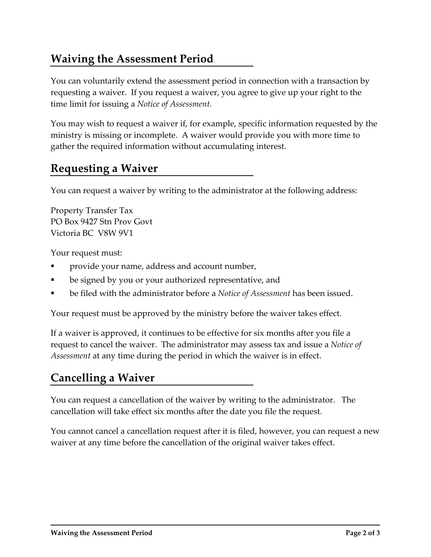### **Waiving the Assessment Period**

You can voluntarily extend the assessment period in connection with a transaction by requesting a waiver. If you request a waiver, you agree to give up your right to the time limit for issuing a *Notice of Assessment.*

You may wish to request a waiver if, for example, specific information requested by the ministry is missing or incomplete. A waiver would provide you with more time to gather the required information without accumulating interest.

#### **Requesting a Waiver**

You can request a waiver by writing to the administrator at the following address:

Property Transfer Tax PO Box 9427 Stn Prov Govt Victoria BC V8W 9V1

Your request must:

- provide your name, address and account number,
- be signed by you or your authorized representative, and
- be filed with the administrator before a *Notice of Assessment* has been issued.

Your request must be approved by the ministry before the waiver takes effect.

If a waiver is approved, it continues to be effective for six months after you file a request to cancel the waiver. The administrator may assess tax and issue a *Notice of Assessment* at any time during the period in which the waiver is in effect.

#### **Cancelling a Waiver**

You can request a cancellation of the waiver by writing to the administrator. The cancellation will take effect six months after the date you file the request.

You cannot cancel a cancellation request after it is filed, however, you can request a new waiver at any time before the cancellation of the original waiver takes effect.